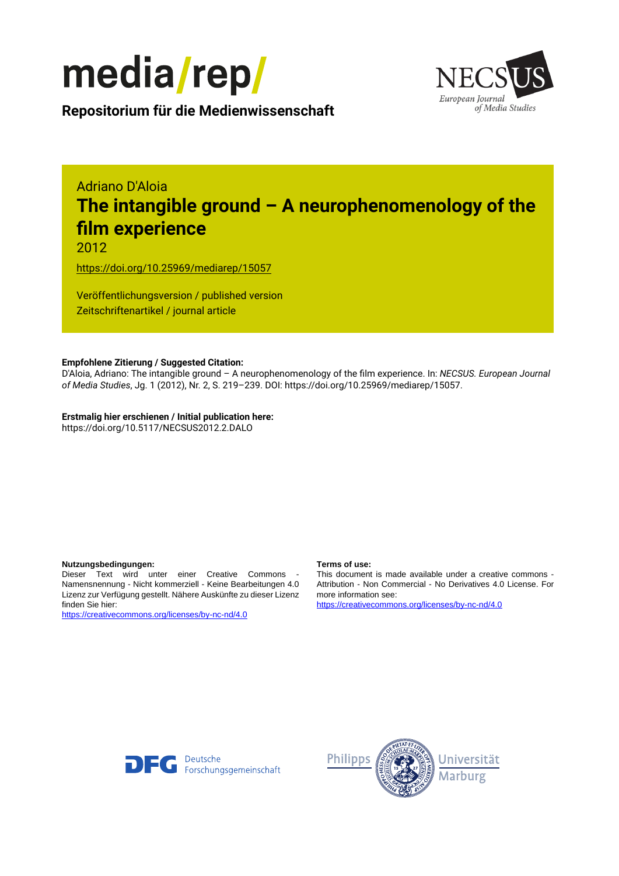



**Repositorium für die [Medienwissenschaft](https://mediarep.org)**

# Adriano D'Aloia **The intangible ground – A neurophenomenology of the film experience**

2012

<https://doi.org/10.25969/mediarep/15057>

Veröffentlichungsversion / published version Zeitschriftenartikel / journal article

#### **Empfohlene Zitierung / Suggested Citation:**

D'Aloia, Adriano: The intangible ground – A neurophenomenology of the film experience. In: *NECSUS. European Journal of Media Studies*, Jg. 1 (2012), Nr. 2, S. 219–239. DOI: https://doi.org/10.25969/mediarep/15057.

**Erstmalig hier erschienen / Initial publication here:** https://doi.org/10.5117/NECSUS2012.2.DALO

#### **Nutzungsbedingungen: Terms of use:**

Dieser Text wird unter einer Creative Commons - Namensnennung - Nicht kommerziell - Keine Bearbeitungen 4.0 Lizenz zur Verfügung gestellt. Nähere Auskünfte zu dieser Lizenz finden Sie hier:

<https://creativecommons.org/licenses/by-nc-nd/4.0>

This document is made available under a creative commons - Attribution - Non Commercial - No Derivatives 4.0 License. For more information see:

<https://creativecommons.org/licenses/by-nc-nd/4.0>



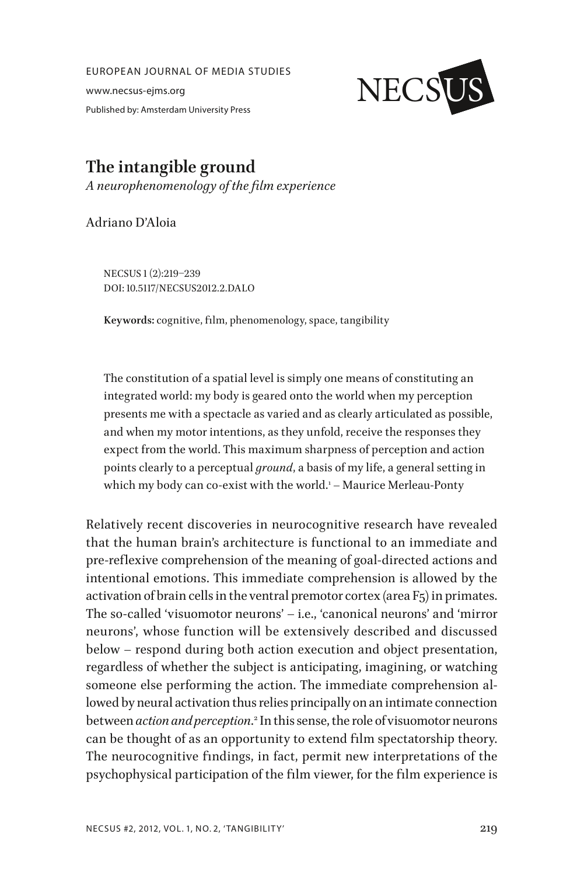EUROPEAN JOURNAL OF MEDIA STUDIES www.necsus-ejms.org Published by: Amsterdam University Press



# **The intangible ground**

*A neurophenomenology of the film experience*

Adriano D'Aloia

NECSUS 1 (2):219–239 DOI: 10.5117/NECSUS2012.2.DALO

**Keywords:** cognitive, film, phenomenology, space, tangibility

The constitution of a spatial level is simply one means of constituting an integrated world: my body is geared onto the world when my perception presents me with a spectacle as varied and as clearly articulated as possible, and when my motor intentions, as they unfold, receive the responses they expect from the world. This maximum sharpness of perception and action points clearly to a perceptual *ground*, a basis of my life, a general setting in which my body can co-exist with the world.<sup>1</sup> – Maurice Merleau-Ponty

Relatively recent discoveries in neurocognitive research have revealed that the human brain's architecture is functional to an immediate and pre-reflexive comprehension of the meaning of goal-directed actions and intentional emotions. This immediate comprehension is allowed by the activation of brain cells in the ventral premotor cortex (area F5) in primates. The so-called 'visuomotor neurons' – i.e., 'canonical neurons' and 'mirror neurons', whose function will be extensively described and discussed below – respond during both action execution and object presentation, regardless of whether the subject is anticipating, imagining, or watching someone else performing the action. The immediate comprehension allowed by neural activation thus relies principally on an intimate connection between *action and perception*. 2 In this sense, the role of visuomotor neurons can be thought of as an opportunity to extend film spectatorship theory. The neurocognitive findings, in fact, permit new interpretations of the psychophysical participation of the film viewer, for the film experience is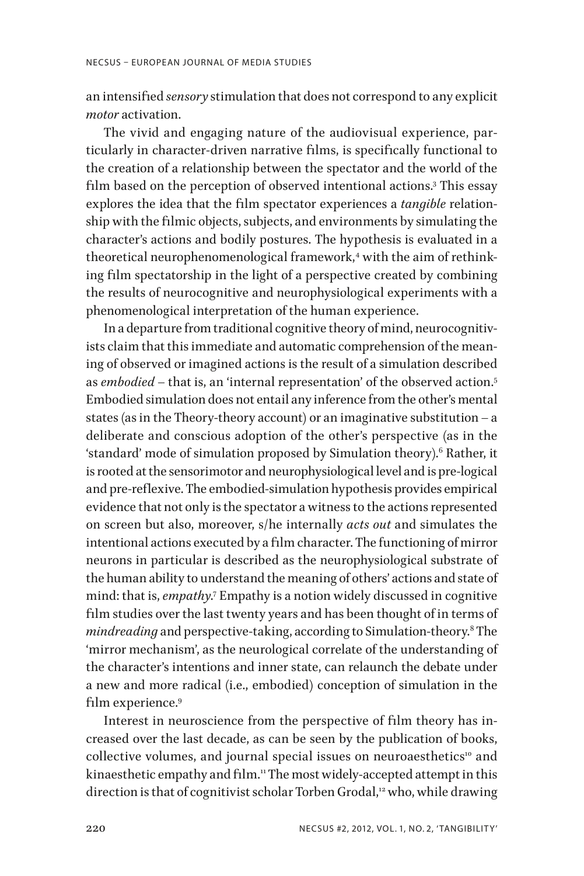an intensified *sensory* stimulation that does not correspond to any explicit *motor* activation.

The vivid and engaging nature of the audiovisual experience, particularly in character-driven narrative films, is specifically functional to the creation of a relationship between the spectator and the world of the film based on the perception of observed intentional actions.3 This essay explores the idea that the film spectator experiences a *tangible* relationship with the filmic objects, subjects, and environments by simulating the character's actions and bodily postures. The hypothesis is evaluated in a theoretical neurophenomenological framework,<sup>4</sup> with the aim of rethinking film spectatorship in the light of a perspective created by combining the results of neurocognitive and neurophysiological experiments with a phenomenological interpretation of the human experience.

In a departure from traditional cognitive theory of mind, neurocognitivists claim that this immediate and automatic comprehension of the meaning of observed or imagined actions is the result of a simulation described as *embodied* – that is, an 'internal representation' of the observed action.5 Embodied simulation does not entail any inference from the other's mental states (as in the Theory-theory account) or an imaginative substitution – a deliberate and conscious adoption of the other's perspective (as in the 'standard' mode of simulation proposed by Simulation theory).6 Rather, it is rooted at the sensorimotor and neurophysiological level and is pre-logical and pre-reflexive. The embodied-simulation hypothesis provides empirical evidence that not only is the spectator a witness to the actions represented on screen but also, moreover, s/he internally *acts out* and simulates the intentional actions executed by a film character. The functioning of mirror neurons in particular is described as the neurophysiological substrate of the human ability to understand the meaning of others' actions and state of mind: that is, *empathy*. 7 Empathy is a notion widely discussed in cognitive film studies over the last twenty years and has been thought of in terms of *mindreading* and perspective-taking, according to Simulation-theory.8 The 'mirror mechanism', as the neurological correlate of the understanding of the character's intentions and inner state, can relaunch the debate under a new and more radical (i.e., embodied) conception of simulation in the film experience.<sup>9</sup>

Interest in neuroscience from the perspective of film theory has increased over the last decade, as can be seen by the publication of books, collective volumes, and journal special issues on neuroaesthetics<sup>10</sup> and kinaesthetic empathy and film.<sup>11</sup> The most widely-accepted attempt in this direction is that of cognitivist scholar Torben Grodal,<sup>12</sup> who, while drawing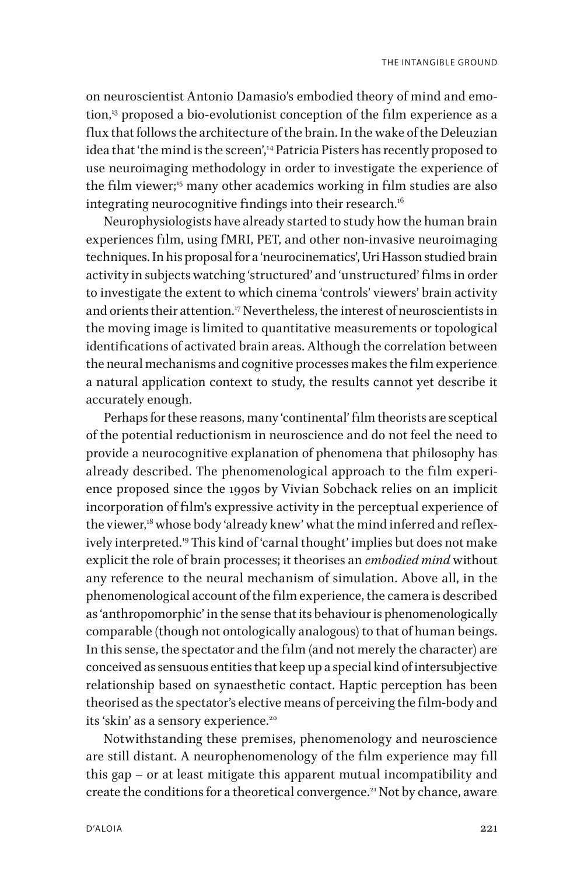on neuroscientist Antonio Damasio's embodied theory of mind and emotion, $13$  proposed a bio-evolutionist conception of the film experience as a flux that follows the architecture of the brain. In the wake of the Deleuzian idea that 'the mind is the screen',<sup>14</sup> Patricia Pisters has recently proposed to use neuroimaging methodology in order to investigate the experience of the film viewer;<sup>15</sup> many other academics working in film studies are also integrating neurocognitive findings into their research.<sup>16</sup>

Neurophysiologists have already started to study how the human brain experiences film, using fMRI, PET, and other non-invasive neuroimaging techniques. In his proposal for a 'neurocinematics', Uri Hasson studied brain activity in subjects watching 'structured' and 'unstructured' films in order to investigate the extent to which cinema 'controls' viewers' brain activity and orients their attention.<sup>17</sup> Nevertheless, the interest of neuroscientists in the moving image is limited to quantitative measurements or topological identifications of activated brain areas. Although the correlation between the neural mechanisms and cognitive processes makes the film experience a natural application context to study, the results cannot yet describe it accurately enough.

Perhaps for these reasons, many 'continental' film theorists are sceptical of the potential reductionism in neuroscience and do not feel the need to provide a neurocognitive explanation of phenomena that philosophy has already described. The phenomenological approach to the film experience proposed since the 1990s by Vivian Sobchack relies on an implicit incorporation of film's expressive activity in the perceptual experience of the viewer,<sup>18</sup> whose body 'already knew' what the mind inferred and reflexively interpreted.19 This kind of 'carnal thought' implies but does not make explicit the role of brain processes; it theorises an *embodied mind* without any reference to the neural mechanism of simulation. Above all, in the phenomenological account of the film experience, the camera is described as 'anthropomorphic' in the sense that its behaviour is phenomenologically comparable (though not ontologically analogous) to that of human beings. In this sense, the spectator and the film (and not merely the character) are conceived as sensuous entities that keep up a special kind of intersubjective relationship based on synaesthetic contact. Haptic perception has been theorised as the spectator's elective means of perceiving the film-body and its 'skin' as a sensory experience.<sup>20</sup>

Notwithstanding these premises, phenomenology and neuroscience are still distant. A neurophenomenology of the film experience may fill this gap – or at least mitigate this apparent mutual incompatibility and create the conditions for a theoretical convergence.<sup>21</sup> Not by chance, aware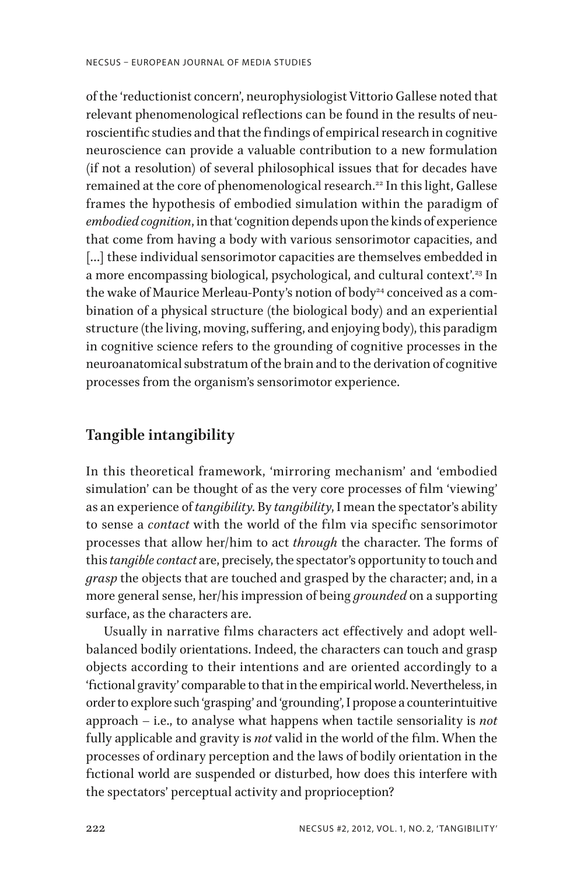of the 'reductionist concern', neurophysiologist Vittorio Gallese noted that relevant phenomenological reflections can be found in the results of neuroscientific studies and that the findings of empirical research in cognitive neuroscience can provide a valuable contribution to a new formulation (if not a resolution) of several philosophical issues that for decades have remained at the core of phenomenological research.<sup>22</sup> In this light, Gallese frames the hypothesis of embodied simulation within the paradigm of *embodied cognition*, in that 'cognition depends upon the kinds of experience that come from having a body with various sensorimotor capacities, and [...] these individual sensorimotor capacities are themselves embedded in a more encompassing biological, psychological, and cultural context'.<sup>23</sup> In the wake of Maurice Merleau-Ponty's notion of body<sup>24</sup> conceived as a combination of a physical structure (the biological body) and an experiential structure (the living, moving, suffering, and enjoying body), this paradigm in cognitive science refers to the grounding of cognitive processes in the neuroanatomical substratum of the brain and to the derivation of cognitive processes from the organism's sensorimotor experience.

# **Tangible intangibility**

In this theoretical framework, 'mirroring mechanism' and 'embodied simulation' can be thought of as the very core processes of film 'viewing' as an experience of *tangibility*. By *tangibility*, I mean the spectator's ability to sense a *contact* with the world of the film via specific sensorimotor processes that allow her/him to act *through* the character. The forms of this *tangible contact* are, precisely, the spectator's opportunity to touch and *grasp* the objects that are touched and grasped by the character; and, in a more general sense, her/his impression of being *grounded* on a supporting surface, as the characters are.

Usually in narrative films characters act effectively and adopt wellbalanced bodily orientations. Indeed, the characters can touch and grasp objects according to their intentions and are oriented accordingly to a 'fictional gravity' comparable to that in the empirical world. Nevertheless, in order to explore such 'grasping' and 'grounding', I propose a counterintuitive approach – i.e., to analyse what happens when tactile sensoriality is *not* fully applicable and gravity is *not* valid in the world of the film. When the processes of ordinary perception and the laws of bodily orientation in the fictional world are suspended or disturbed, how does this interfere with the spectators' perceptual activity and proprioception?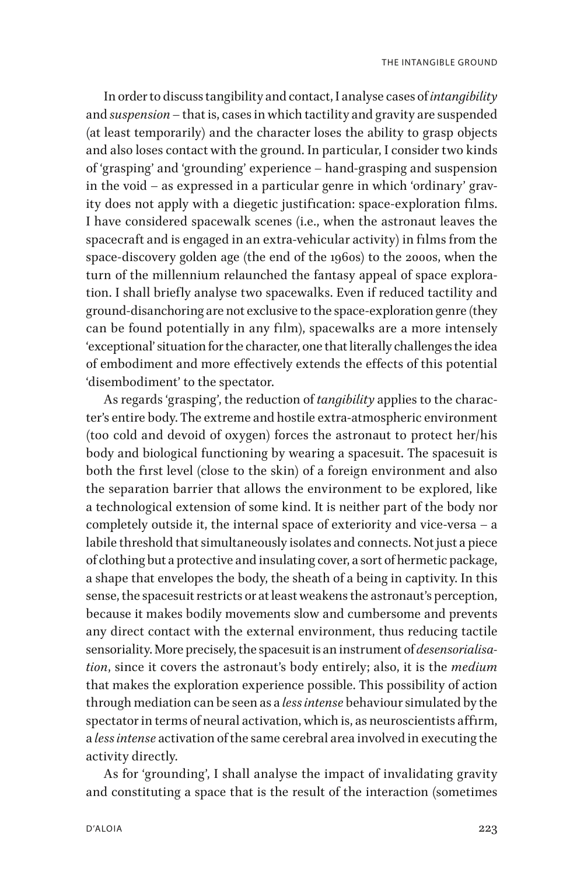In order to discuss tangibility and contact, I analyse cases of *intangibility*  and *suspension* – that is, cases in which tactility and gravity are suspended (at least temporarily) and the character loses the ability to grasp objects and also loses contact with the ground. In particular, I consider two kinds of 'grasping' and 'grounding' experience – hand-grasping and suspension in the void – as expressed in a particular genre in which 'ordinary' gravity does not apply with a diegetic justification: space-exploration films. I have considered spacewalk scenes (i.e., when the astronaut leaves the spacecraft and is engaged in an extra-vehicular activity) in films from the space-discovery golden age (the end of the 1960s) to the 2000s, when the turn of the millennium relaunched the fantasy appeal of space exploration. I shall briefly analyse two spacewalks. Even if reduced tactility and ground-disanchoring are not exclusive to the space-exploration genre (they can be found potentially in any film), spacewalks are a more intensely 'exceptional' situation for the character, one that literally challenges the idea of embodiment and more effectively extends the effects of this potential 'disembodiment' to the spectator.

As regards 'grasping', the reduction of *tangibility* applies to the character's entire body. The extreme and hostile extra-atmospheric environment (too cold and devoid of oxygen) forces the astronaut to protect her/his body and biological functioning by wearing a spacesuit. The spacesuit is both the first level (close to the skin) of a foreign environment and also the separation barrier that allows the environment to be explored, like a technological extension of some kind. It is neither part of the body nor completely outside it, the internal space of exteriority and vice-versa – a labile threshold that simultaneously isolates and connects. Not just a piece of clothing but a protective and insulating cover, a sort of hermetic package, a shape that envelopes the body, the sheath of a being in captivity. In this sense, the spacesuit restricts or at least weakens the astronaut's perception, because it makes bodily movements slow and cumbersome and prevents any direct contact with the external environment, thus reducing tactile sensoriality. More precisely, the spacesuit is an instrument of *desensorialisation*, since it covers the astronaut's body entirely; also, it is the *medium* that makes the exploration experience possible. This possibility of action through mediation can be seen as a *less intense* behaviour simulated by the spectator in terms of neural activation, which is, as neuroscientists affirm, a *less intense* activation of the same cerebral area involved in executing the activity directly.

As for 'grounding', I shall analyse the impact of invalidating gravity and constituting a space that is the result of the interaction (sometimes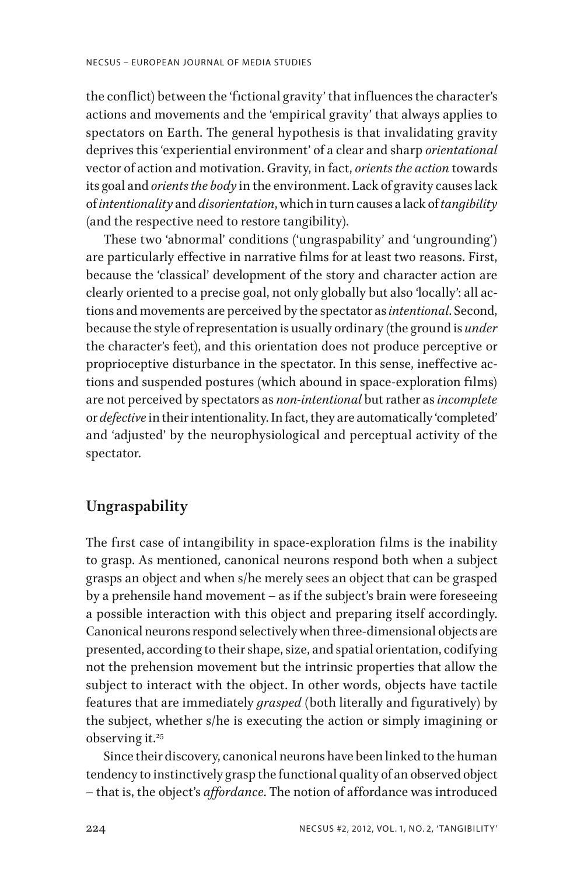the conflict) between the 'fictional gravity' that influences the character's actions and movements and the 'empirical gravity' that always applies to spectators on Earth. The general hypothesis is that invalidating gravity deprives this 'experiential environment' of a clear and sharp *orientational* vector of action and motivation. Gravity, in fact, *orients the action* towards its goal and *orients the body* in the environment. Lack of gravity causes lack of *intentionality* and *disorientation*,which in turn causes a lack of *tangibility* (and the respective need to restore tangibility).

These two 'abnormal' conditions ('ungraspability' and 'ungrounding') are particularly effective in narrative films for at least two reasons. First, because the 'classical' development of the story and character action are clearly oriented to a precise goal, not only globally but also 'locally': all actions and movements are perceived by the spectator as *intentional*. Second, because the style of representation is usually ordinary (the ground is *under* the character's feet), and this orientation does not produce perceptive or proprioceptive disturbance in the spectator. In this sense, ineffective actions and suspended postures (which abound in space-exploration films) are not perceived by spectators as *non-intentional* but rather as *incomplete*  or *defective* in their intentionality. In fact, they are automatically 'completed' and 'adjusted' by the neurophysiological and perceptual activity of the spectator.

# **Ungraspability**

The first case of intangibility in space-exploration films is the inability to grasp. As mentioned, canonical neurons respond both when a subject grasps an object and when s/he merely sees an object that can be grasped by a prehensile hand movement – as if the subject's brain were foreseeing a possible interaction with this object and preparing itself accordingly. Canonical neurons respond selectively when three-dimensional objects are presented, according to their shape, size, and spatial orientation, codifying not the prehension movement but the intrinsic properties that allow the subject to interact with the object. In other words, objects have tactile features that are immediately *grasped* (both literally and figuratively) by the subject, whether s/he is executing the action or simply imagining or observing it.<sup>25</sup>

Since their discovery, canonical neurons have been linked to the human tendency to instinctively grasp the functional quality of an observed object – that is, the object's *affordance*. The notion of affordance was introduced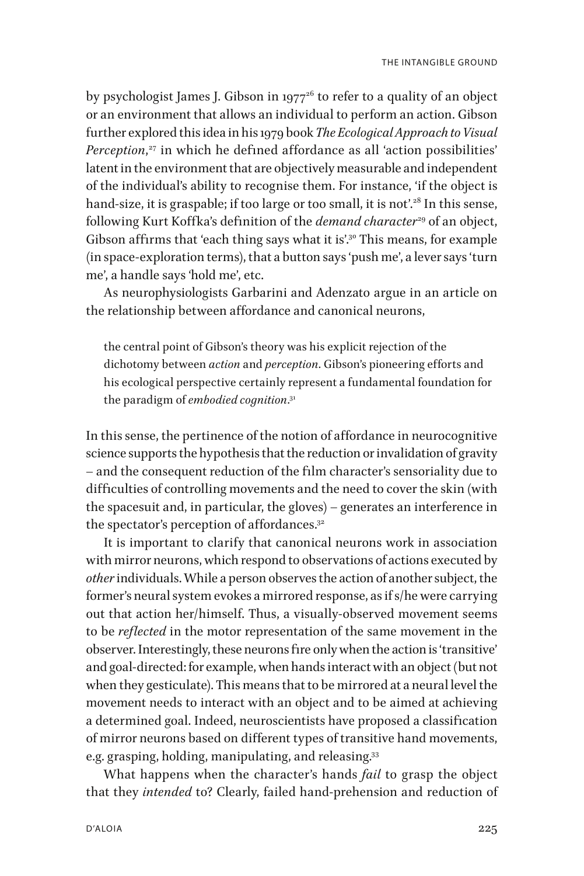by psychologist James J. Gibson in  $1977^{26}$  to refer to a quality of an object or an environment that allows an individual to perform an action. Gibson further explored this idea in his 1979 book *The Ecological Approach to Visual Perception*, 27 in which he defined affordance as all 'action possibilities' latent in the environment that are objectively measurable and independent of the individual's ability to recognise them. For instance, 'if the object is hand-size, it is graspable; if too large or too small, it is not'.<sup>28</sup> In this sense, following Kurt Koffka's definition of the *demand character<sup>29</sup>* of an object, Gibson affirms that 'each thing says what it is'.<sup>30</sup> This means, for example (in space-exploration terms), that a button says 'push me', a lever says 'turn me', a handle says 'hold me', etc.

As neurophysiologists Garbarini and Adenzato argue in an article on the relationship between affordance and canonical neurons,

the central point of Gibson's theory was his explicit rejection of the dichotomy between *action* and *perception*. Gibson's pioneering efforts and his ecological perspective certainly represent a fundamental foundation for the paradigm of *embodied cognition*. 31

In this sense, the pertinence of the notion of affordance in neurocognitive science supports the hypothesis that the reduction or invalidation of gravity – and the consequent reduction of the film character's sensoriality due to difficulties of controlling movements and the need to cover the skin (with the spacesuit and, in particular, the gloves) – generates an interference in the spectator's perception of affordances.<sup>32</sup>

It is important to clarify that canonical neurons work in association with mirror neurons, which respond to observations of actions executed by *other* individuals. While a person observes the action of another subject, the former's neural system evokes a mirrored response, as if s/he were carrying out that action her/himself. Thus, a visually-observed movement seems to be *reflected* in the motor representation of the same movement in the observer. Interestingly, these neurons fire only when the action is 'transitive' and goal-directed: for example, when hands interact with an object (but not when they gesticulate). This means that to be mirrored at a neural level the movement needs to interact with an object and to be aimed at achieving a determined goal. Indeed, neuroscientists have proposed a classification of mirror neurons based on different types of transitive hand movements, e.g. grasping, holding, manipulating, and releasing.<sup>33</sup>

What happens when the character's hands *fail* to grasp the object that they *intended* to? Clearly, failed hand-prehension and reduction of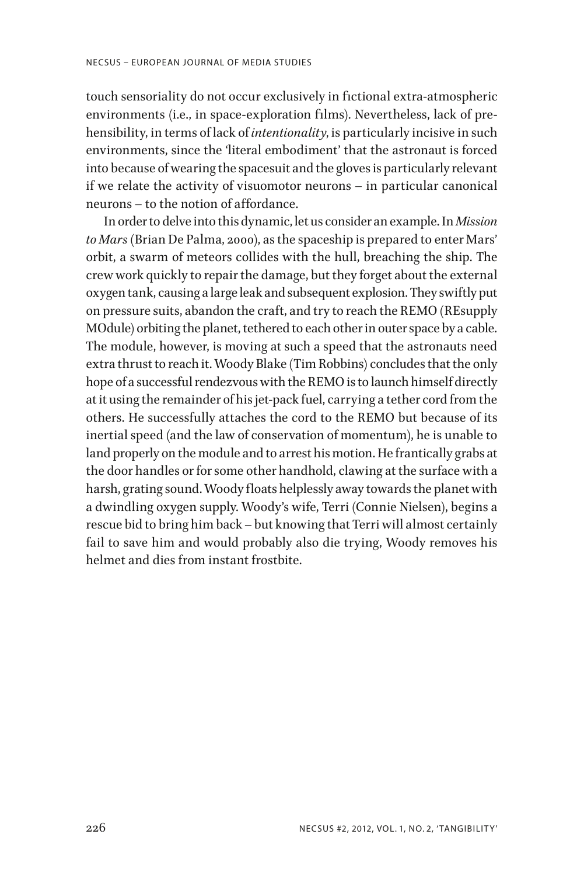touch sensoriality do not occur exclusively in fictional extra-atmospheric environments (i.e., in space-exploration films). Nevertheless, lack of prehensibility, in terms of lack of *intentionality*, is particularly incisive in such environments, since the 'literal embodiment' that the astronaut is forced into because of wearing the spacesuit and the gloves is particularly relevant if we relate the activity of visuomotor neurons – in particular canonical neurons – to the notion of affordance.

In order to delve into this dynamic, let us consider an example. In *Mission to Mars* (Brian De Palma, 2000), as the spaceship is prepared to enter Mars' orbit, a swarm of meteors collides with the hull, breaching the ship. The crew work quickly to repair the damage, but they forget about the external oxygen tank, causing a large leak and subsequent explosion. They swiftly put on pressure suits, abandon the craft, and try to reach the REMO (REsupply MOdule) orbiting the planet, tethered to each other in outer space by a cable. The module, however, is moving at such a speed that the astronauts need extra thrust to reach it. Woody Blake (Tim Robbins) concludes that the only hope of a successful rendezvous with the REMO is to launch himself directly at it using the remainder of his jet-pack fuel, carrying a tether cord from the others. He successfully attaches the cord to the REMO but because of its inertial speed (and the law of conservation of momentum), he is unable to land properly on the module and to arrest his motion. He frantically grabs at the door handles or for some other handhold, clawing at the surface with a harsh, grating sound. Woody floats helplessly away towards the planet with a dwindling oxygen supply. Woody's wife, Terri (Connie Nielsen), begins a rescue bid to bring him back – but knowing that Terri will almost certainly fail to save him and would probably also die trying, Woody removes his helmet and dies from instant frostbite.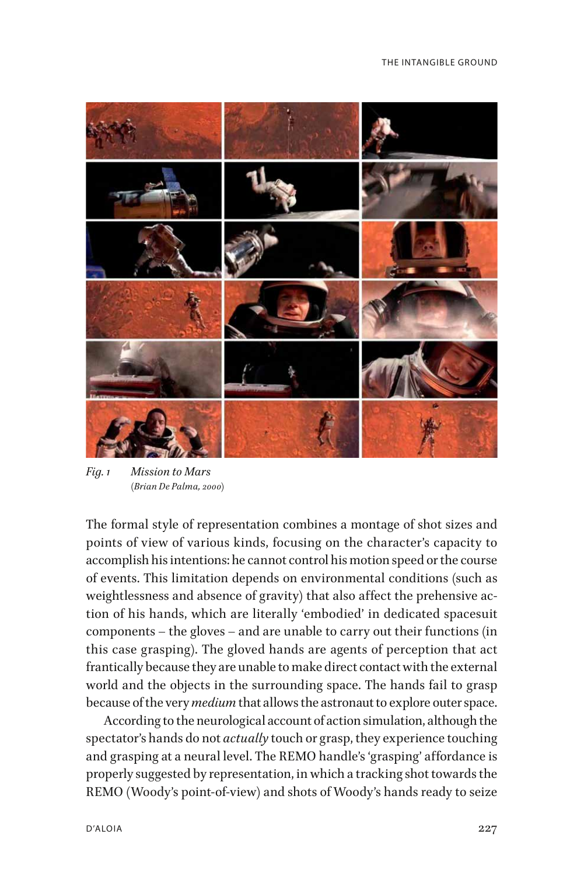

*Fig. 1 Mission to Mars (Brian De Palma, 2000)*

The formal style of representation combines a montage of shot sizes and points of view of various kinds, focusing on the character's capacity to accomplish his intentions: he cannot control his motion speed or the course of events. This limitation depends on environmental conditions (such as weightlessness and absence of gravity) that also affect the prehensive action of his hands, which are literally 'embodied' in dedicated spacesuit components – the gloves – and are unable to carry out their functions (in this case grasping). The gloved hands are agents of perception that act frantically because they are unable to make direct contact with the external world and the objects in the surrounding space. The hands fail to grasp because of the very *medium* that allows the astronaut to explore outer space.

According to the neurological account of action simulation, although the spectator's hands do not *actually* touch or grasp, they experience touching and grasping at a neural level. The REMO handle's 'grasping' affordance is properly suggested by representation, in which a tracking shot towards the REMO (Woody's point-of-view) and shots of Woody's hands ready to seize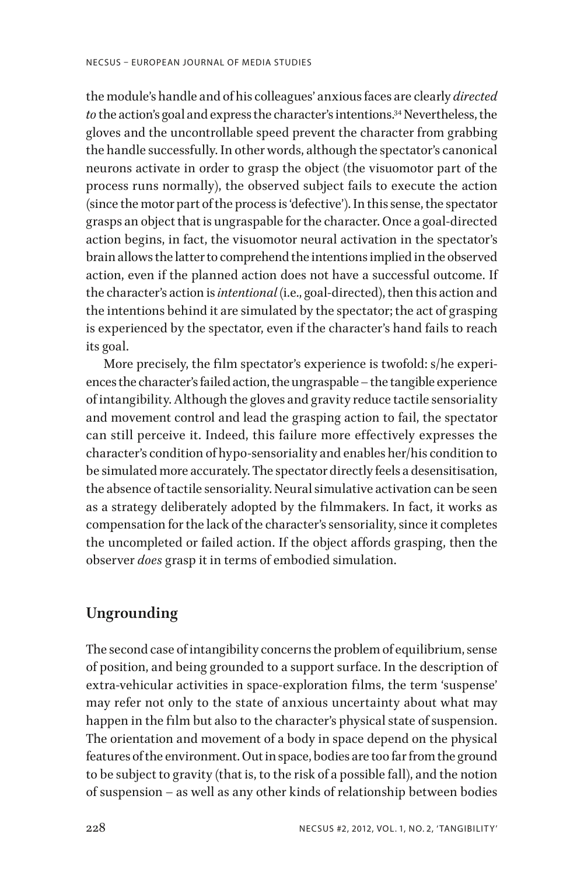the module's handle and of his colleagues' anxious faces are clearly *directed to* the action's goal and express the character's intentions.34 Nevertheless, the gloves and the uncontrollable speed prevent the character from grabbing the handle successfully. In other words, although the spectator's canonical neurons activate in order to grasp the object (the visuomotor part of the process runs normally), the observed subject fails to execute the action (since the motor part of the process is 'defective'). In this sense, the spectator grasps an object that is ungraspable for the character. Once a goal-directed action begins, in fact, the visuomotor neural activation in the spectator's brain allows the latter to comprehend the intentions implied in the observed action, even if the planned action does not have a successful outcome. If the character's action is *intentional* (i.e., goal-directed), then this action and the intentions behind it are simulated by the spectator; the act of grasping is experienced by the spectator, even if the character's hand fails to reach its goal.

More precisely, the film spectator's experience is twofold: s/he experiences the character's failed action, the ungraspable – the tangible experience of intangibility. Although the gloves and gravity reduce tactile sensoriality and movement control and lead the grasping action to fail, the spectator can still perceive it. Indeed, this failure more effectively expresses the character's condition of hypo-sensoriality and enables her/his condition to be simulated more accurately. The spectator directly feels a desensitisation, the absence of tactile sensoriality. Neural simulative activation can be seen as a strategy deliberately adopted by the filmmakers. In fact, it works as compensation for the lack of the character's sensoriality, since it completes the uncompleted or failed action. If the object affords grasping, then the observer *does* grasp it in terms of embodied simulation.

# **Ungrounding**

The second case of intangibility concerns the problem of equilibrium, sense of position, and being grounded to a support surface. In the description of extra-vehicular activities in space-exploration films, the term 'suspense' may refer not only to the state of anxious uncertainty about what may happen in the film but also to the character's physical state of suspension. The orientation and movement of a body in space depend on the physical features of the environment. Out in space, bodies are too far from the ground to be subject to gravity (that is, to the risk of a possible fall), and the notion of suspension – as well as any other kinds of relationship between bodies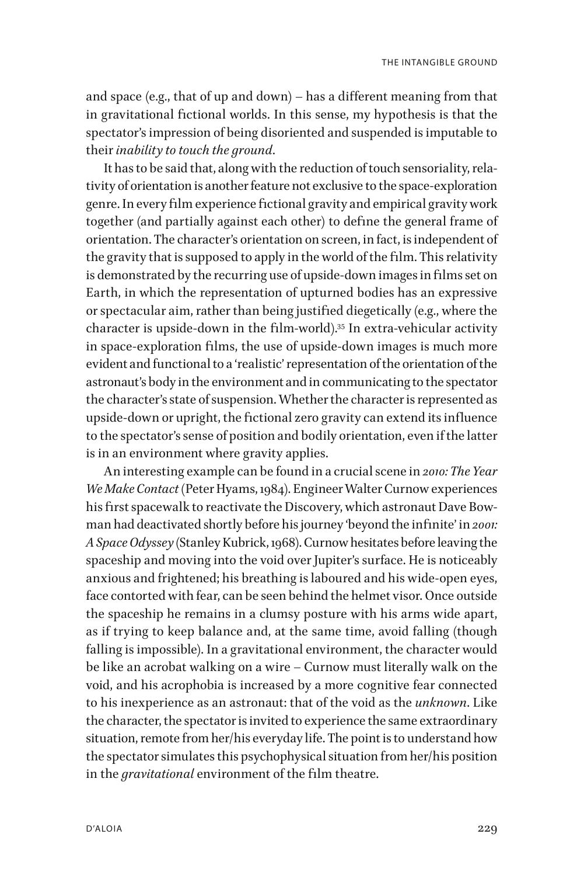and space (e.g., that of up and down) – has a different meaning from that in gravitational fictional worlds. In this sense, my hypothesis is that the spectator's impression of being disoriented and suspended is imputable to their *inability to touch the ground*.

It has to be said that, along with the reduction of touch sensoriality, relativity of orientation is another feature not exclusive to the space-exploration genre. In every film experience fictional gravity and empirical gravity work together (and partially against each other) to define the general frame of orientation. The character's orientation on screen, in fact, is independent of the gravity that is supposed to apply in the world of the film. This relativity is demonstrated by the recurring use of upside-down images in films set on Earth, in which the representation of upturned bodies has an expressive or spectacular aim, rather than being justified diegetically (e.g., where the character is upside-down in the film-world).35 In extra-vehicular activity in space-exploration films, the use of upside-down images is much more evident and functional to a 'realistic' representation of the orientation of the astronaut's body in the environment and in communicating to the spectator the character's state of suspension. Whether the character is represented as upside-down or upright, the fictional zero gravity can extend its influence to the spectator's sense of position and bodily orientation, even if the latter is in an environment where gravity applies.

An interesting example can be found in a crucial scene in *2010: The Year We Make Contact* (Peter Hyams, 1984). Engineer Walter Curnow experiences his first spacewalk to reactivate the Discovery, which astronaut Dave Bowman had deactivated shortly before his journey 'beyond the infinite' in *2001: A Space Odyssey* (Stanley Kubrick, 1968). Curnow hesitates before leaving the spaceship and moving into the void over Jupiter's surface. He is noticeably anxious and frightened; his breathing is laboured and his wide-open eyes, face contorted with fear, can be seen behind the helmet visor. Once outside the spaceship he remains in a clumsy posture with his arms wide apart, as if trying to keep balance and, at the same time, avoid falling (though falling is impossible). In a gravitational environment, the character would be like an acrobat walking on a wire – Curnow must literally walk on the void, and his acrophobia is increased by a more cognitive fear connected to his inexperience as an astronaut: that of the void as the *unknown*. Like the character, the spectator is invited to experience the same extraordinary situation, remote from her/his everyday life. The point is to understand how the spectator simulates this psychophysical situation from her/his position in the *gravitational* environment of the film theatre.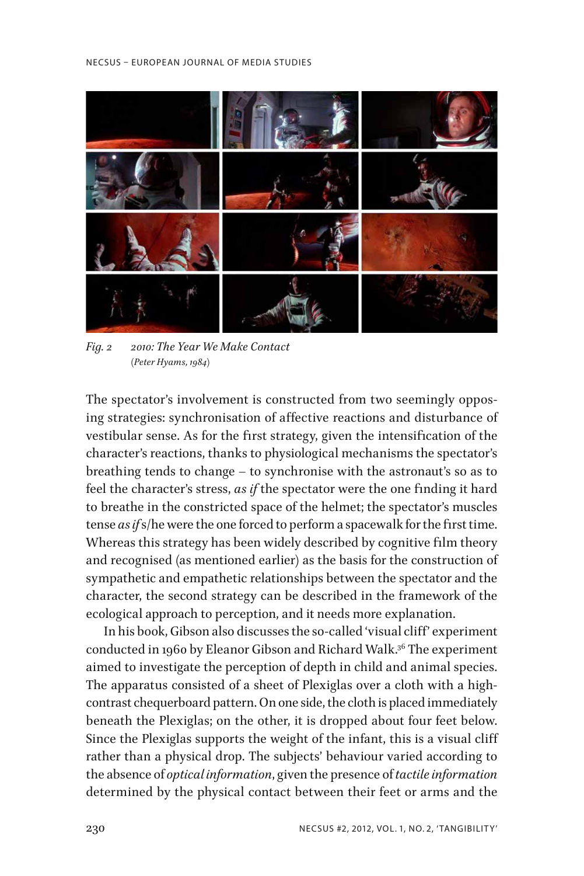

*Fig. 2 2010: The Year We Make Contact (Peter Hyams, 1984)*

The spectator's involvement is constructed from two seemingly opposing strategies: synchronisation of affective reactions and disturbance of vestibular sense. As for the first strategy, given the intensification of the character's reactions, thanks to physiological mechanisms the spectator's breathing tends to change – to synchronise with the astronaut's so as to feel the character's stress, *as if* the spectator were the one finding it hard to breathe in the constricted space of the helmet; the spectator's muscles tense *as if* s/he were the one forced to perform a spacewalk for the first time. Whereas this strategy has been widely described by cognitive film theory and recognised (as mentioned earlier) as the basis for the construction of sympathetic and empathetic relationships between the spectator and the character, the second strategy can be described in the framework of the ecological approach to perception, and it needs more explanation.

In his book, Gibson also discusses the so-called 'visual cliff' experiment conducted in 1960 by Eleanor Gibson and Richard Walk.<sup>36</sup> The experiment aimed to investigate the perception of depth in child and animal species. The apparatus consisted of a sheet of Plexiglas over a cloth with a highcontrast chequerboard pattern. On one side, the cloth is placed immediately beneath the Plexiglas; on the other, it is dropped about four feet below. Since the Plexiglas supports the weight of the infant, this is a visual cliff rather than a physical drop. The subjects' behaviour varied according to the absence of *optical information*, given the presence of *tactile information* determined by the physical contact between their feet or arms and the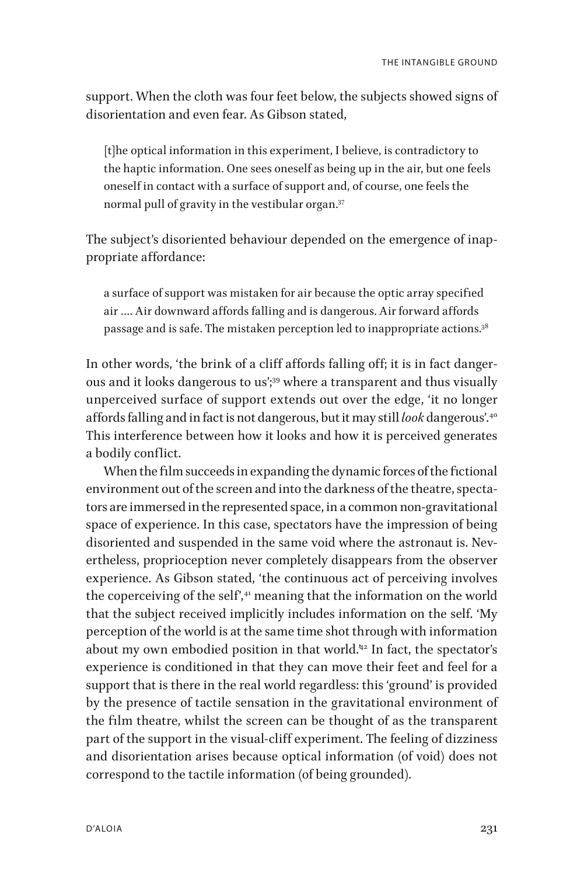support. When the cloth was four feet below, the subjects showed signs of disorientation and even fear. As Gibson stated,

[t]he optical information in this experiment, I believe, is contradictory to the haptic information. One sees oneself as being up in the air, but one feels oneself in contact with a surface of support and, of course, one feels the normal pull of gravity in the vestibular organ.37

The subject's disoriented behaviour depended on the emergence of inappropriate affordance:

a surface of support was mistaken for air because the optic array specified air …. Air downward affords falling and is dangerous. Air forward affords passage and is safe. The mistaken perception led to inappropriate actions.38

In other words, 'the brink of a cliff affords falling off; it is in fact dangerous and it looks dangerous to us';<sup>39</sup> where a transparent and thus visually unperceived surface of support extends out over the edge, 'it no longer affords falling and in fact is not dangerous, but it may still *look* dangerous'.40 This interference between how it looks and how it is perceived generates a bodily conflict.

When the film succeeds in expanding the dynamic forces of the fictional environment out of the screen and into the darkness of the theatre, spectators are immersed in the represented space, in a common non-gravitational space of experience. In this case, spectators have the impression of being disoriented and suspended in the same void where the astronaut is. Nevertheless, proprioception never completely disappears from the observer experience. As Gibson stated, 'the continuous act of perceiving involves the coperceiving of the self', $41$ <sup>1</sup> meaning that the information on the world that the subject received implicitly includes information on the self. 'My perception of the world is at the same time shot through with information about my own embodied position in that world.<sup>42</sup> In fact, the spectator's experience is conditioned in that they can move their feet and feel for a support that is there in the real world regardless: this 'ground' is provided by the presence of tactile sensation in the gravitational environment of the film theatre, whilst the screen can be thought of as the transparent part of the support in the visual-cliff experiment. The feeling of dizziness and disorientation arises because optical information (of void) does not correspond to the tactile information (of being grounded).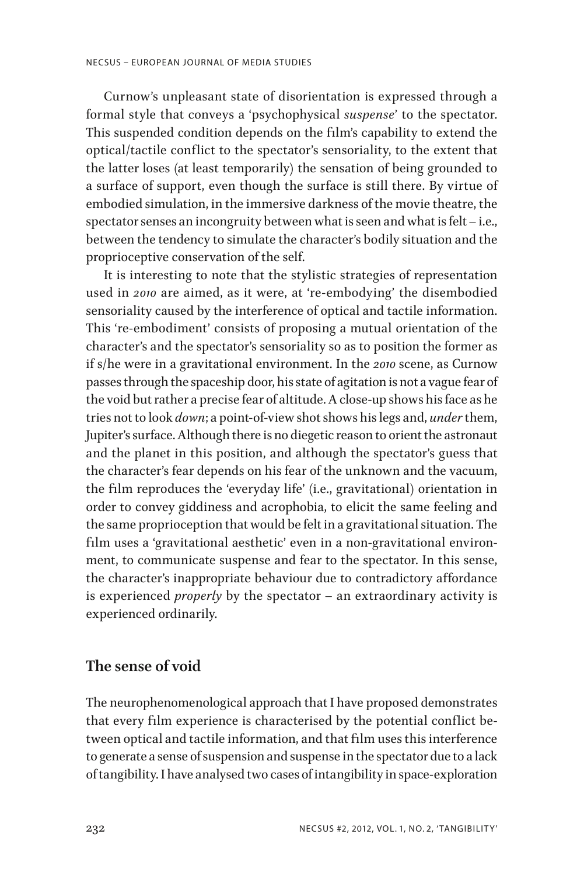Curnow's unpleasant state of disorientation is expressed through a formal style that conveys a 'psychophysical *suspense*' to the spectator. This suspended condition depends on the film's capability to extend the optical/tactile conflict to the spectator's sensoriality, to the extent that the latter loses (at least temporarily) the sensation of being grounded to a surface of support, even though the surface is still there. By virtue of embodied simulation, in the immersive darkness of the movie theatre, the spectator senses an incongruity between what is seen and what is felt – i.e., between the tendency to simulate the character's bodily situation and the proprioceptive conservation of the self.

It is interesting to note that the stylistic strategies of representation used in *2010* are aimed, as it were, at 're-embodying' the disembodied sensoriality caused by the interference of optical and tactile information. This 're-embodiment' consists of proposing a mutual orientation of the character's and the spectator's sensoriality so as to position the former as if s/he were in a gravitational environment. In the *2010* scene, as Curnow passes through the spaceship door, his state of agitation is not a vague fear of the void but rather a precise fear of altitude. A close-up shows his face as he tries not to look *down*; a point-of-view shot shows his legs and, *under* them, Jupiter's surface. Although there is no diegetic reason to orient the astronaut and the planet in this position, and although the spectator's guess that the character's fear depends on his fear of the unknown and the vacuum, the film reproduces the 'everyday life' (i.e., gravitational) orientation in order to convey giddiness and acrophobia, to elicit the same feeling and the same proprioception that would be felt in a gravitational situation. The film uses a 'gravitational aesthetic' even in a non-gravitational environment, to communicate suspense and fear to the spectator. In this sense, the character's inappropriate behaviour due to contradictory affordance is experienced *properly* by the spectator – an extraordinary activity is experienced ordinarily.

### **The sense of void**

The neurophenomenological approach that I have proposed demonstrates that every film experience is characterised by the potential conflict between optical and tactile information, and that film uses this interference to generate a sense of suspension and suspense in the spectator due to a lack of tangibility. I have analysed two cases of intangibility in space-exploration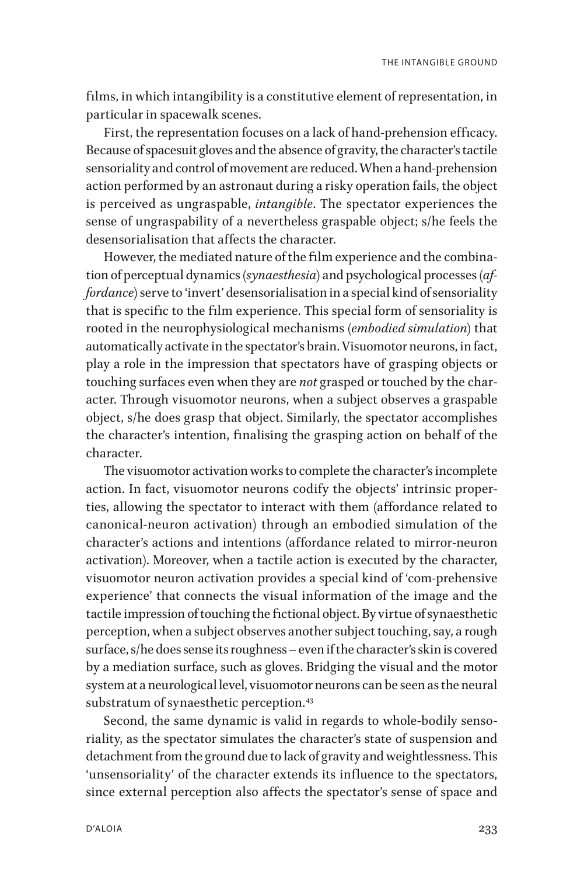films, in which intangibility is a constitutive element of representation, in particular in spacewalk scenes.

First, the representation focuses on a lack of hand-prehension efficacy. Because of spacesuit gloves and the absence of gravity, the character's tactile sensoriality and control of movement are reduced. When a hand-prehension action performed by an astronaut during a risky operation fails, the object is perceived as ungraspable, *intangible*. The spectator experiences the sense of ungraspability of a nevertheless graspable object; s/he feels the desensorialisation that affects the character.

However, the mediated nature of the film experience and the combination of perceptual dynamics (*synaesthesia*) and psychological processes (*affordance*) serve to 'invert' desensorialisation in a special kind of sensoriality that is specific to the film experience. This special form of sensoriality is rooted in the neurophysiological mechanisms (*embodied simulation*) that automatically activate in the spectator's brain. Visuomotor neurons, in fact, play a role in the impression that spectators have of grasping objects or touching surfaces even when they are *not* grasped or touched by the character. Through visuomotor neurons, when a subject observes a graspable object, s/he does grasp that object. Similarly, the spectator accomplishes the character's intention, finalising the grasping action on behalf of the character.

The visuomotor activation works to complete the character's incomplete action. In fact, visuomotor neurons codify the objects' intrinsic properties, allowing the spectator to interact with them (affordance related to canonical-neuron activation) through an embodied simulation of the character's actions and intentions (affordance related to mirror-neuron activation). Moreover, when a tactile action is executed by the character, visuomotor neuron activation provides a special kind of 'com-prehensive experience' that connects the visual information of the image and the tactile impression of touching the fictional object. By virtue of synaesthetic perception, when a subject observes another subject touching, say, a rough surface, s/he does sense its roughness – even if the character's skin is covered by a mediation surface, such as gloves. Bridging the visual and the motor system at a neurological level, visuomotor neurons can be seen as the neural substratum of synaesthetic perception.<sup>43</sup>

Second, the same dynamic is valid in regards to whole-bodily sensoriality, as the spectator simulates the character's state of suspension and detachment from the ground due to lack of gravity and weightlessness. This 'unsensoriality' of the character extends its influence to the spectators, since external perception also affects the spectator's sense of space and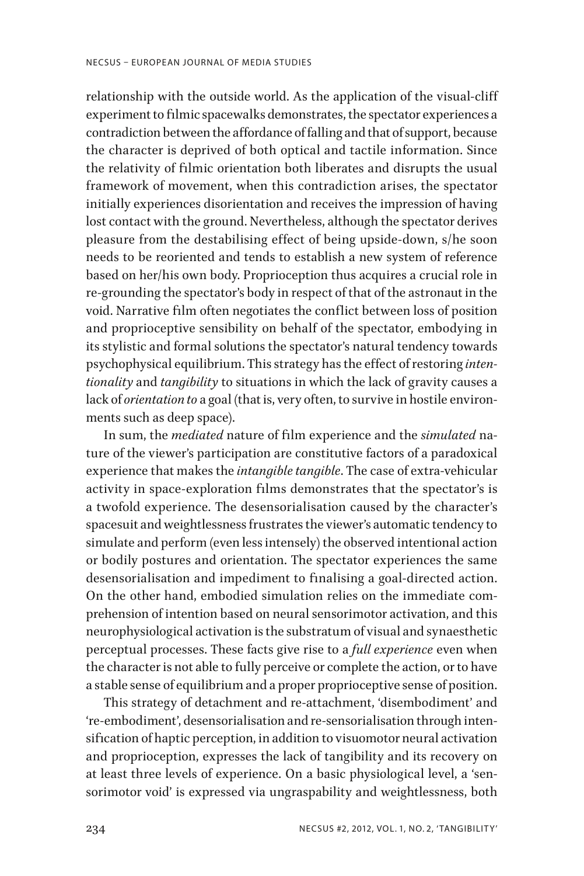relationship with the outside world. As the application of the visual-cliff experiment to filmic spacewalks demonstrates, the spectator experiences a contradiction between the affordance of falling and that of support, because the character is deprived of both optical and tactile information. Since the relativity of filmic orientation both liberates and disrupts the usual framework of movement, when this contradiction arises, the spectator initially experiences disorientation and receives the impression of having lost contact with the ground. Nevertheless, although the spectator derives pleasure from the destabilising effect of being upside-down, s/he soon needs to be reoriented and tends to establish a new system of reference based on her/his own body. Proprioception thus acquires a crucial role in re-grounding the spectator's body in respect of that of the astronaut in the void. Narrative film often negotiates the conflict between loss of position and proprioceptive sensibility on behalf of the spectator, embodying in its stylistic and formal solutions the spectator's natural tendency towards psychophysical equilibrium. This strategy has the effect of restoring *intentionality* and *tangibility* to situations in which the lack of gravity causes a lack of *orientation to* a goal (that is, very often, to survive in hostile environments such as deep space).

In sum, the *mediated* nature of film experience and the *simulated* nature of the viewer's participation are constitutive factors of a paradoxical experience that makes the *intangible tangible*. The case of extra-vehicular activity in space-exploration films demonstrates that the spectator's is a twofold experience. The desensorialisation caused by the character's spacesuit and weightlessness frustrates the viewer's automatic tendency to simulate and perform (even less intensely) the observed intentional action or bodily postures and orientation. The spectator experiences the same desensorialisation and impediment to finalising a goal-directed action. On the other hand, embodied simulation relies on the immediate comprehension of intention based on neural sensorimotor activation, and this neurophysiological activation is the substratum of visual and synaesthetic perceptual processes. These facts give rise to a *full experience* even when the character is not able to fully perceive or complete the action, or to have a stable sense of equilibrium and a proper proprioceptive sense of position.

This strategy of detachment and re-attachment, 'disembodiment' and 're-embodiment', desensorialisation and re-sensorialisation through intensification of haptic perception, in addition to visuomotor neural activation and proprioception, expresses the lack of tangibility and its recovery on at least three levels of experience. On a basic physiological level, a 'sensorimotor void' is expressed via ungraspability and weightlessness, both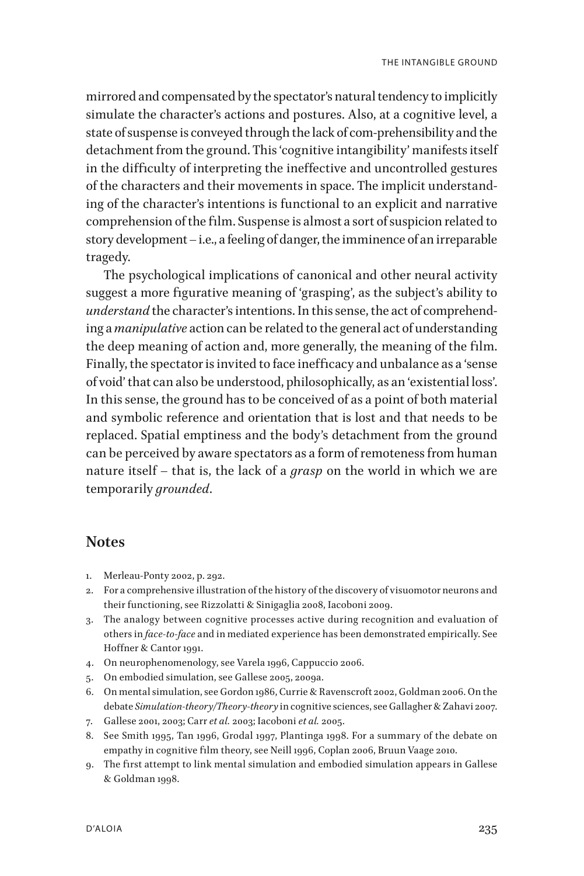mirrored and compensated by the spectator's natural tendency to implicitly simulate the character's actions and postures. Also, at a cognitive level, a state of suspense is conveyed through the lack of com-prehensibility and the detachment from the ground. This 'cognitive intangibility' manifests itself in the difficulty of interpreting the ineffective and uncontrolled gestures of the characters and their movements in space. The implicit understanding of the character's intentions is functional to an explicit and narrative comprehension of the film. Suspense is almost a sort of suspicion related to story development – i.e., a feeling of danger, the imminence of an irreparable tragedy.

The psychological implications of canonical and other neural activity suggest a more figurative meaning of 'grasping', as the subject's ability to *understand* the character's intentions. In this sense, the act of comprehending a *manipulative* action can be related to the general act of understanding the deep meaning of action and, more generally, the meaning of the film. Finally, the spectator is invited to face inefficacy and unbalance as a 'sense of void' that can also be understood, philosophically, as an 'existential loss'. In this sense, the ground has to be conceived of as a point of both material and symbolic reference and orientation that is lost and that needs to be replaced. Spatial emptiness and the body's detachment from the ground can be perceived by aware spectators as a form of remoteness from human nature itself – that is, the lack of a *grasp* on the world in which we are temporarily *grounded*.

#### **Notes**

- 1. Merleau-Ponty 2002, p. 292.
- 2. For a comprehensive illustration of the history of the discovery of visuomotor neurons and their functioning, see Rizzolatti & Sinigaglia 2008, Iacoboni 2009.
- 3. The analogy between cognitive processes active during recognition and evaluation of others in *face-to-face* and in mediated experience has been demonstrated empirically. See Hoffner & Cantor 1991.
- 4. On neurophenomenology, see Varela 1996, Cappuccio 2006.
- 5. On embodied simulation, see Gallese 2005, 2009a.
- 6. On mental simulation, see Gordon 1986, Currie & Ravenscroft 2002, Goldman 2006. On the debate *Simulation-theory/Theory-theory* in cognitive sciences, see Gallagher & Zahavi 2007.
- 7. Gallese 2001, 2003; Carr *et al.* 2003; Iacoboni *et al.* 2005.
- 8. See Smith 1995, Tan 1996, Grodal 1997, Plantinga 1998. For a summary of the debate on empathy in cognitive film theory, see Neill 1996, Coplan 2006, Bruun Vaage 2010.
- 9. The first attempt to link mental simulation and embodied simulation appears in Gallese & Goldman 1998.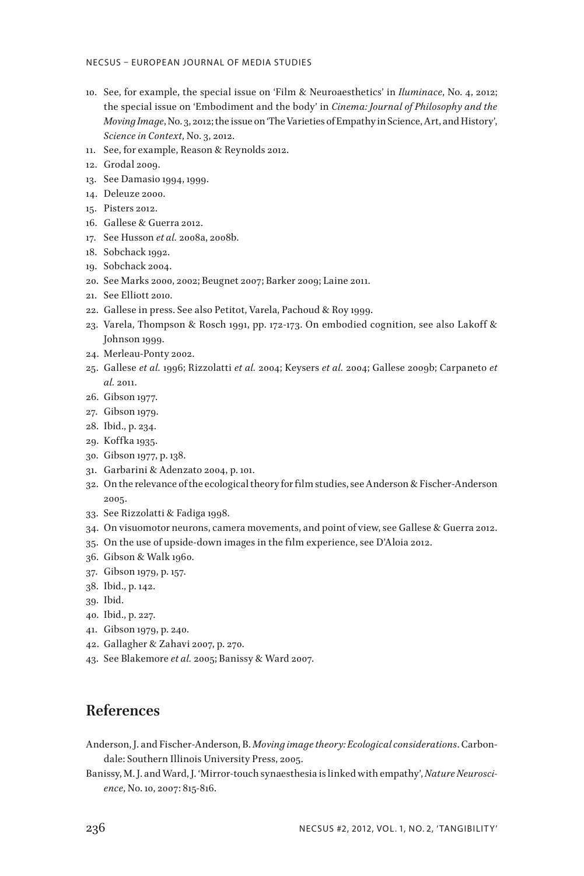- 10. See, for example, the special issue on 'Film & Neuroaesthetics' in *Iluminace*, No. 4, 2012; the special issue on 'Embodiment and the body' in *Cinema: Journal of Philosophy and the Moving Image*, No. 3, 2012; the issue on 'The Varieties of Empathy in Science, Art, and History', *Science in Context*, No. 3, 2012.
- 11. See, for example, Reason & Reynolds 2012.
- 12. Grodal 2009.
- 13. See Damasio 1994, 1999.
- 14. Deleuze 2000.
- 15. Pisters 2012.
- 16. Gallese & Guerra 2012.
- 17. See Husson *et al.* 2008a, 2008b.
- 18. Sobchack 1992.
- 19. Sobchack 2004.
- 20. See Marks 2000, 2002; Beugnet 2007; Barker 2009; Laine 2011.
- 21. See Elliott 2010.
- 22. Gallese in press. See also Petitot, Varela, Pachoud & Roy 1999.
- 23. Varela, Thompson & Rosch 1991, pp. 172-173. On embodied cognition, see also Lakoff & Johnson 1999.
- 24. Merleau-Ponty 2002.
- 25. Gallese *et al.* 1996; Rizzolatti *et al.* 2004; Keysers *et al.* 2004; Gallese 2009b; Carpaneto *et al.* 2011.
- 26. Gibson 1977.
- 27. Gibson 1979.
- 28. Ibid., p. 234.
- 29. Koffka 1935.
- 30. Gibson 1977, p. 138.
- 31. Garbarini & Adenzato 2004, p. 101.
- 32. On the relevance of the ecological theory for film studies, see Anderson & Fischer-Anderson 2005.
- 33. See Rizzolatti & Fadiga 1998.
- 34. On visuomotor neurons, camera movements, and point of view, see Gallese & Guerra 2012.
- 35. On the use of upside-down images in the film experience, see D'Aloia 2012.
- 36. Gibson & Walk 1960.
- 37. Gibson 1979, p. 157.
- 38. Ibid., p. 142.
- 39. Ibid.
- 40. Ibid., p. 227.
- 41. Gibson 1979, p. 240.
- 42. Gallagher & Zahavi 2007, p. 270.
- 43. See Blakemore *et al.* 2005; Banissy & Ward 2007.

# **References**

- Anderson, J. and Fischer-Anderson, B. *Moving image theory: Ecological considerations*. Carbondale: Southern Illinois University Press, 2005.
- Banissy, M. J. and Ward, J. 'Mirror-touch synaesthesia is linked with empathy', *Nature Neuroscience*, No. 10, 2007: 815-816.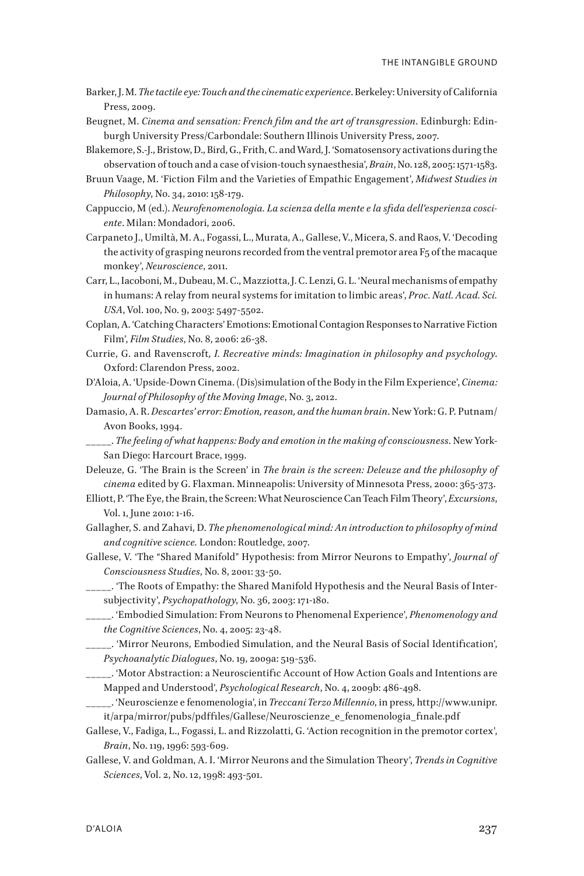- Barker, J. M. *The tactile eye: Touch and the cinematic experience*. Berkeley: University of California Press, 2009.
- Beugnet, M. *Cinema and sensation: French film and the art of transgression*. Edinburgh: Edinburgh University Press/Carbondale: Southern Illinois University Press, 2007.
- Blakemore, S.-J., Bristow, D., Bird, G., Frith, C. and Ward, J. 'Somatosensory activations during the observation of touch and a case of vision-touch synaesthesia', *Brain*, No. 128, 2005: 1571-1583.
- Bruun Vaage, M. 'Fiction Film and the Varieties of Empathic Engagement', *Midwest Studies in Philosophy*, No. 34, 2010: 158-179.
- Cappuccio, M (ed.). *Neurofenomenologia. La scienza della mente e la sfida dell'esperienza cosciente*. Milan: Mondadori, 2006.
- Carpaneto J., Umiltà, M. A., Fogassi, L., Murata, A., Gallese, V., Micera, S. and Raos, V. 'Decoding the activity of grasping neurons recorded from the ventral premotor area F5 of the macaque monkey', *Neuroscience*, 2011.
- Carr, L., Iacoboni, M., Dubeau, M. C., Mazziotta, J. C. Lenzi, G. L. 'Neural mechanisms of empathy in humans: A relay from neural systems for imitation to limbic areas', *Proc. Natl. Acad. Sci. USA*, Vol. 100, No. 9, 2003: 5497-5502.
- Coplan, A. 'Catching Characters' Emotions: Emotional Contagion Responses to Narrative Fiction Film', *Film Studies*, No. 8, 2006: 26-38.
- Currie, G. and Ravenscroft*, I. Recreative minds: Imagination in philosophy and psychology*. Oxford: Clarendon Press, 2002.
- D'Aloia, A. 'Upside-Down Cinema. (Dis)simulation of the Body in the Film Experience', *Cinema: Journal of Philosophy of the Moving Image*, No. 3, 2012.
- Damasio, A. R. *Descartes' error: Emotion, reason, and the human brain*. New York: G. P. Putnam/ Avon Books, 1994.
- \_\_\_\_\_. *The feeling of what happens: Body and emotion in the making of consciousness*. New York-San Diego: Harcourt Brace, 1999.
- Deleuze, G. 'The Brain is the Screen' in *The brain is the screen: Deleuze and the philosophy of cinema* edited by G. Flaxman. Minneapolis: University of Minnesota Press, 2000: 365-373.
- Elliott, P. 'The Eye, the Brain, the Screen: What Neuroscience Can Teach Film Theory', *Excursions*, Vol. 1, June 2010: 1-16.
- Gallagher, S. and Zahavi, D. *The phenomenological mind: An introduction to philosophy of mind and cognitive science.* London: Routledge, 2007.
- Gallese, V. 'The "Shared Manifold" Hypothesis: from Mirror Neurons to Empathy', *Journal of Consciousness Studies*, No. 8, 2001: 33-50.
- \_\_\_\_\_. 'The Roots of Empathy: the Shared Manifold Hypothesis and the Neural Basis of Intersubjectivity', *Psychopathology*, No. 36, 2003: 171-180.
	- \_\_\_\_\_. 'Embodied Simulation: From Neurons to Phenomenal Experience', *Phenomenology and the Cognitive Sciences*, No. 4, 2005: 23-48.
- \_\_\_\_\_. 'Mirror Neurons, Embodied Simulation, and the Neural Basis of Social Identification', *Psychoanalytic Dialogues*, No. 19, 2009a: 519-536.
- \_\_\_\_\_. 'Motor Abstraction: a Neuroscientific Account of How Action Goals and Intentions are Mapped and Understood', *Psychological Research*, No. 4, 2009b: 486-498.
- \_\_\_\_\_. 'Neuroscienze e fenomenologia', in *Treccani Terzo Millennio*, in press*,* http://www.unipr. it/arpa/mirror/pubs/pdffiles/Gallese/Neuroscienze\_e\_fenomenologia\_finale.pdf
- Gallese, V., Fadiga, L., Fogassi, L. and Rizzolatti, G. 'Action recognition in the premotor cortex', *Brain*, No. 119, 1996: 593-609.
- Gallese, V. and Goldman, A. I. 'Mirror Neurons and the Simulation Theory', *Trends in Cognitive Sciences*, Vol. 2, No. 12, 1998: 493-501.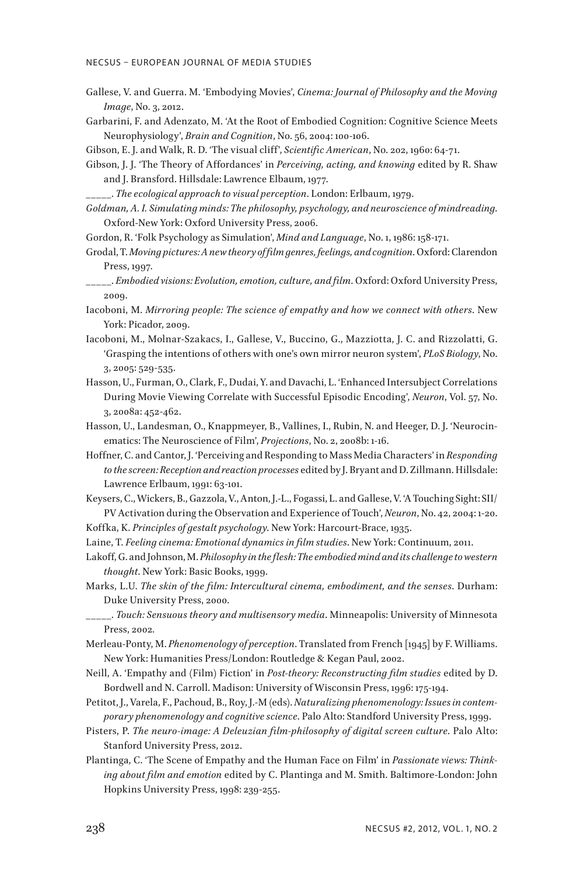- Gallese, V. and Guerra. M. 'Embodying Movies', *Cinema: Journal of Philosophy and the Moving Image*, No. 3, 2012.
- Garbarini, F. and Adenzato, M. 'At the Root of Embodied Cognition: Cognitive Science Meets Neurophysiology', *Brain and Cognition*, No. 56, 2004: 100-106.
- Gibson, E. J. and Walk, R. D. 'The visual cliff', *Scientific American*, No. 202, 1960: 64-71.
- Gibson, J. J. 'The Theory of Affordances' in *Perceiving, acting, and knowing* edited by R. Shaw and J. Bransford. Hillsdale: Lawrence Elbaum, 1977.
	- \_\_\_\_\_. *The ecological approach to visual perception*. London: Erlbaum, 1979.
- *Goldman, A. I. Simulating minds: The philosophy, psychology, and neuroscience of mindreading*. Oxford-New York: Oxford University Press, 2006.
- Gordon, R. 'Folk Psychology as Simulation', *Mind and Language*, No. 1, 1986: 158-171.
- Grodal, T. *Moving pictures: A new theory of film genres, feelings, and cognition*. Oxford: Clarendon Press, 1997.
- \_\_\_\_\_. *Embodied visions: Evolution, emotion, culture, and film*. Oxford: Oxford University Press, 2009.
- Iacoboni, M. *Mirroring people: The science of empathy and how we connect with others*. New York: Picador, 2009.
- Iacoboni, M., Molnar-Szakacs, I., Gallese, V., Buccino, G., Mazziotta, J. C. and Rizzolatti, G. 'Grasping the intentions of others with one's own mirror neuron system', *PLoS Biology*, No. 3, 2005: 529-535.
- Hasson, U., Furman, O., Clark, F., Dudai, Y. and Davachi, L. 'Enhanced Intersubject Correlations During Movie Viewing Correlate with Successful Episodic Encoding', *Neuron*, Vol. 57, No. 3, 2008a: 452-462.
- Hasson, U., Landesman, O., Knappmeyer, B., Vallines, I., Rubin, N. and Heeger, D. J. 'Neurocinematics: The Neuroscience of Film', *Projections*, No. 2, 2008b: 1-16.
- Hoffner, C. and Cantor, J. 'Perceiving and Responding to Mass Media Characters' in *Responding to the screen: Reception and reaction processes* edited by J. Bryant and D. Zillmann. Hillsdale: Lawrence Erlbaum, 1991: 63-101.
- Keysers, C., Wickers, B., Gazzola, V., Anton, J.-L., Fogassi, L. and Gallese, V. 'A Touching Sight: SII/ PV Activation during the Observation and Experience of Touch', *Neuron*, No. 42, 2004: 1-20.

Koffka, K. *Principles of gestalt psychology*. New York: Harcourt-Brace, 1935.

- Laine, T. *Feeling cinema: Emotional dynamics in film studies*. New York: Continuum, 2011.
- Lakoff, G. and Johnson, M. *Philosophy in the flesh: The embodied mind and its challenge to western thought*. New York: Basic Books, 1999.
- Marks, L.U. *The skin of the film: Intercultural cinema, embodiment, and the senses*. Durham: Duke University Press, 2000.
- \_\_\_\_\_. *Touch: Sensuous theory and multisensory media*. Minneapolis: University of Minnesota Press, 2002*.*
- Merleau-Ponty, M. *Phenomenology of perception*. Translated from French [1945] by F. Williams. New York: Humanities Press/London: Routledge & Kegan Paul, 2002.
- Neill, A. 'Empathy and (Film) Fiction' in *Post-theory: Reconstructing film studies* edited by D. Bordwell and N. Carroll. Madison: University of Wisconsin Press, 1996: 175-194.
- Petitot, J., Varela, F., Pachoud, B., Roy, J.-M (eds). *Naturalizing phenomenology: Issues in contemporary phenomenology and cognitive science*. Palo Alto: Standford University Press, 1999.
- Pisters, P. *The neuro-image: A Deleuzian film-philosophy of digital screen culture*. Palo Alto: Stanford University Press, 2012.
- Plantinga, C. 'The Scene of Empathy and the Human Face on Film' in *Passionate views: Thinking about film and emotion* edited by C. Plantinga and M. Smith. Baltimore-London: John Hopkins University Press, 1998: 239-255.